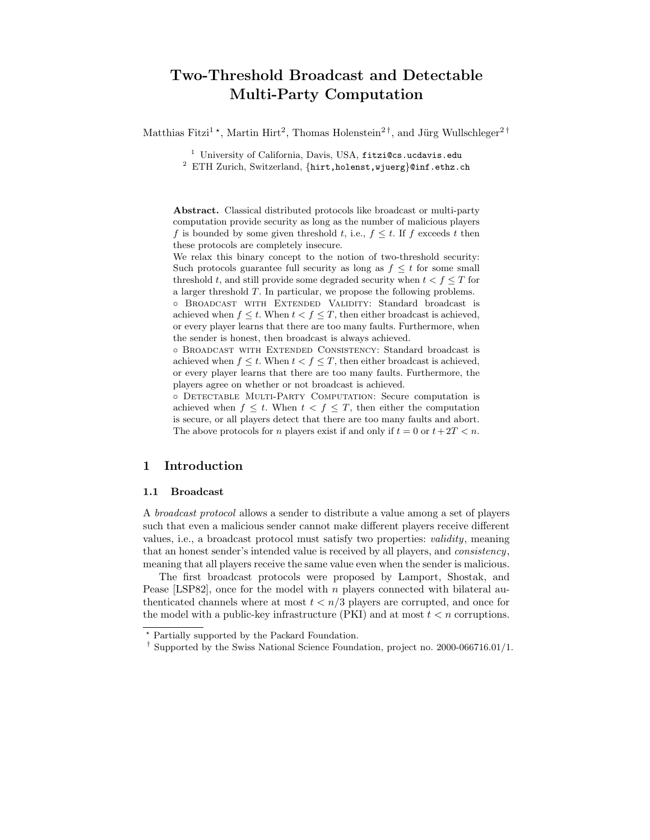# Two-Threshold Broadcast and Detectable Multi-Party Computation

Matthias Fitzi<sup>1</sup><sup>\*</sup>, Martin Hirt<sup>2</sup>, Thomas Holenstein<sup>2†</sup>, and Jürg Wullschleger<sup>2†</sup>

<sup>1</sup> University of California, Davis, USA, fitzi@cs.ucdavis.edu

<sup>2</sup> ETH Zurich, Switzerland, {hirt,holenst,wjuerg}@inf.ethz.ch

Abstract. Classical distributed protocols like broadcast or multi-party computation provide security as long as the number of malicious players f is bounded by some given threshold t, i.e.,  $f \leq t$ . If f exceeds t then these protocols are completely insecure.

We relax this binary concept to the notion of two-threshold security: Such protocols guarantee full security as long as  $f \leq t$  for some small threshold t, and still provide some degraded security when  $t < f \leq T$  for a larger threshold T. In particular, we propose the following problems.

◦ Broadcast with Extended Validity: Standard broadcast is achieved when  $f \leq t$ . When  $t < f \leq T$ , then either broadcast is achieved, or every player learns that there are too many faults. Furthermore, when the sender is honest, then broadcast is always achieved.

◦ Broadcast with Extended Consistency: Standard broadcast is achieved when  $f \leq t$ . When  $t < f \leq T$ , then either broadcast is achieved, or every player learns that there are too many faults. Furthermore, the players agree on whether or not broadcast is achieved.

◦ Detectable Multi-Party Computation: Secure computation is achieved when  $f \leq t$ . When  $t < f \leq T$ , then either the computation is secure, or all players detect that there are too many faults and abort. The above protocols for *n* players exist if and only if  $t = 0$  or  $t + 2T < n$ .

# 1 Introduction

#### 1.1 Broadcast

A broadcast protocol allows a sender to distribute a value among a set of players such that even a malicious sender cannot make different players receive different values, i.e., a broadcast protocol must satisfy two properties: validity, meaning that an honest sender's intended value is received by all players, and consistency, meaning that all players receive the same value even when the sender is malicious.

The first broadcast protocols were proposed by Lamport, Shostak, and Pease [LSP82], once for the model with  $n$  players connected with bilateral authenticated channels where at most  $t < n/3$  players are corrupted, and once for the model with a public-key infrastructure (PKI) and at most  $t < n$  corruptions.

<sup>?</sup> Partially supported by the Packard Foundation.

<sup>†</sup> Supported by the Swiss National Science Foundation, project no. 2000-066716.01/1.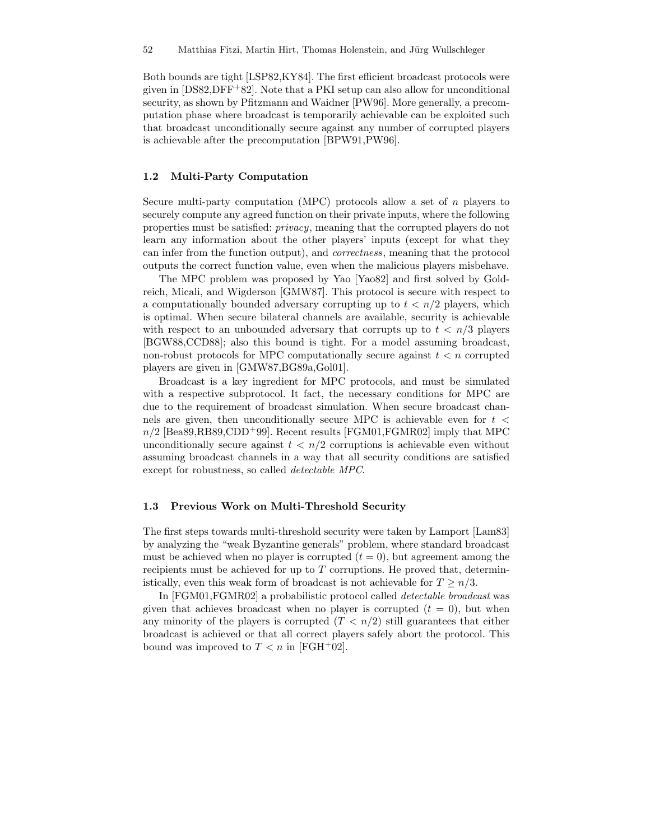Both bounds are tight [LSP82,KY84]. The first efficient broadcast protocols were given in  $[DSS2, DFF+82]$ . Note that a PKI setup can also allow for unconditional security, as shown by Pfitzmann and Waidner [PW96]. More generally, a precomputation phase where broadcast is temporarily achievable can be exploited such that broadcast unconditionally secure against any number of corrupted players is achievable after the precomputation [BPW91,PW96].

### 1.2 Multi-Party Computation

Secure multi-party computation (MPC) protocols allow a set of  $n$  players to securely compute any agreed function on their private inputs, where the following properties must be satisfied: privacy, meaning that the corrupted players do not learn any information about the other players' inputs (except for what they can infer from the function output), and correctness, meaning that the protocol outputs the correct function value, even when the malicious players misbehave.

The MPC problem was proposed by Yao [Yao82] and first solved by Goldreich, Micali, and Wigderson [GMW87]. This protocol is secure with respect to a computationally bounded adversary corrupting up to  $t < n/2$  players, which is optimal. When secure bilateral channels are available, security is achievable with respect to an unbounded adversary that corrupts up to  $t < n/3$  players [BGW88,CCD88]; also this bound is tight. For a model assuming broadcast, non-robust protocols for MPC computationally secure against  $t < n$  corrupted players are given in [GMW87,BG89a,Gol01].

Broadcast is a key ingredient for MPC protocols, and must be simulated with a respective subprotocol. It fact, the necessary conditions for MPC are due to the requirement of broadcast simulation. When secure broadcast channels are given, then unconditionally secure MPC is achievable even for  $t \leq$  $n/2$  [Bea89,RB89,CDD<sup>+</sup>99]. Recent results [FGM01,FGMR02] imply that MPC unconditionally secure against  $t < n/2$  corruptions is achievable even without assuming broadcast channels in a way that all security conditions are satisfied except for robustness, so called detectable MPC.

#### 1.3 Previous Work on Multi-Threshold Security

The first steps towards multi-threshold security were taken by Lamport [Lam83] by analyzing the "weak Byzantine generals" problem, where standard broadcast must be achieved when no player is corrupted  $(t = 0)$ , but agreement among the recipients must be achieved for up to  $T$  corruptions. He proved that, deterministically, even this weak form of broadcast is not achievable for  $T \geq n/3$ .

In [FGM01,FGMR02] a probabilistic protocol called detectable broadcast was given that achieves broadcast when no player is corrupted  $(t = 0)$ , but when any minority of the players is corrupted  $(T < n/2)$  still guarantees that either broadcast is achieved or that all correct players safely abort the protocol. This bound was improved to  $T < n$  in [FGH+02].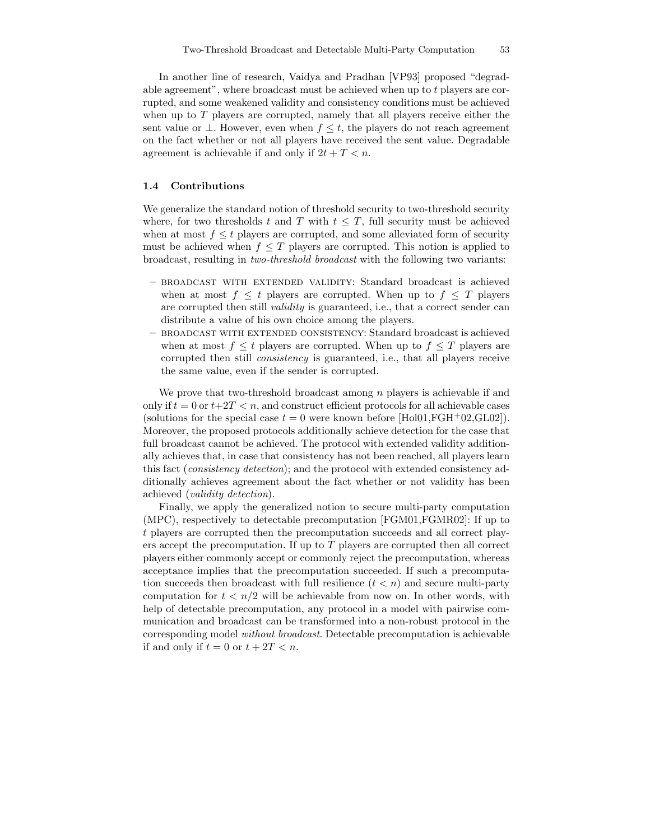In another line of research, Vaidya and Pradhan [VP93] proposed "degradable agreement", where broadcast must be achieved when up to t players are corrupted, and some weakened validity and consistency conditions must be achieved when up to  $T$  players are corrupted, namely that all players receive either the sent value or  $\perp$ . However, even when  $f \leq t$ , the players do not reach agreement on the fact whether or not all players have received the sent value. Degradable agreement is achievable if and only if  $2t + T < n$ .

#### 1.4 Contributions

We generalize the standard notion of threshold security to two-threshold security where, for two thresholds t and T with  $t \leq T$ , full security must be achieved when at most  $f \leq t$  players are corrupted, and some alleviated form of security must be achieved when  $f \leq T$  players are corrupted. This notion is applied to broadcast, resulting in two-threshold broadcast with the following two variants:

- broadcast with extended validity: Standard broadcast is achieved when at most  $f \leq t$  players are corrupted. When up to  $f \leq T$  players are corrupted then still validity is guaranteed, i.e., that a correct sender can distribute a value of his own choice among the players.
- broadcast with extended consistency: Standard broadcast is achieved when at most  $f \leq t$  players are corrupted. When up to  $f \leq T$  players are corrupted then still consistency is guaranteed, i.e., that all players receive the same value, even if the sender is corrupted.

We prove that two-threshold broadcast among  $n$  players is achievable if and only if  $t = 0$  or  $t+2T < n$ , and construct efficient protocols for all achievable cases (solutions for the special case  $t = 0$  were known before [Hol01,FGH+02,GL02]). Moreover, the proposed protocols additionally achieve detection for the case that full broadcast cannot be achieved. The protocol with extended validity additionally achieves that, in case that consistency has not been reached, all players learn this fact (consistency detection); and the protocol with extended consistency additionally achieves agreement about the fact whether or not validity has been achieved (validity detection).

Finally, we apply the generalized notion to secure multi-party computation (MPC), respectively to detectable precomputation [FGM01,FGMR02]: If up to t players are corrupted then the precomputation succeeds and all correct players accept the precomputation. If up to T players are corrupted then all correct players either commonly accept or commonly reject the precomputation, whereas acceptance implies that the precomputation succeeded. If such a precomputation succeeds then broadcast with full resilience  $(t < n)$  and secure multi-party computation for  $t < n/2$  will be achievable from now on. In other words, with help of detectable precomputation, any protocol in a model with pairwise communication and broadcast can be transformed into a non-robust protocol in the corresponding model without broadcast. Detectable precomputation is achievable if and only if  $t = 0$  or  $t + 2T < n$ .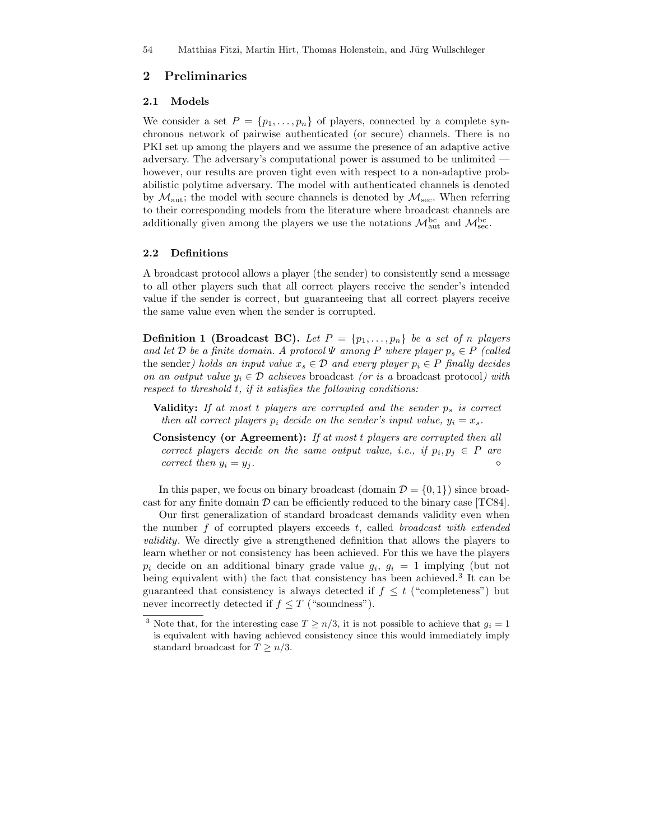# 2 Preliminaries

#### 2.1 Models

We consider a set  $P = \{p_1, \ldots, p_n\}$  of players, connected by a complete synchronous network of pairwise authenticated (or secure) channels. There is no PKI set up among the players and we assume the presence of an adaptive active adversary. The adversary's computational power is assumed to be unlimited however, our results are proven tight even with respect to a non-adaptive probabilistic polytime adversary. The model with authenticated channels is denoted by  $\mathcal{M}_{\text{aut}}$ ; the model with secure channels is denoted by  $\mathcal{M}_{\text{sec}}$ . When referring to their corresponding models from the literature where broadcast channels are additionally given among the players we use the notations  $\mathcal{M}_{\text{aut}}^{\text{bc}}$  and  $\mathcal{M}_{\text{sec}}^{\text{bc}}$ .

#### 2.2 Definitions

A broadcast protocol allows a player (the sender) to consistently send a message to all other players such that all correct players receive the sender's intended value if the sender is correct, but guaranteeing that all correct players receive the same value even when the sender is corrupted.

**Definition 1 (Broadcast BC).** Let  $P = \{p_1, \ldots, p_n\}$  be a set of n players and let D be a finite domain. A protocol  $\Psi$  among P where player  $p_s \in P$  (called the sender) holds an input value  $x_s \in \mathcal{D}$  and every player  $p_i \in P$  finally decides on an output value  $y_i \in \mathcal{D}$  achieves broadcast (or is a broadcast protocol) with respect to threshold t, if it satisfies the following conditions:

- Validity: If at most  $t$  players are corrupted and the sender  $p_s$  is correct then all correct players  $p_i$  decide on the sender's input value,  $y_i = x_s$ .
- Consistency (or Agreement): If at most t players are corrupted then all correct players decide on the same output value, i.e., if  $p_i, p_j \in P$  are correct then  $y_i = y_j$ .

In this paper, we focus on binary broadcast (domain  $\mathcal{D} = \{0, 1\}$ ) since broadcast for any finite domain  $D$  can be efficiently reduced to the binary case [TC84].

Our first generalization of standard broadcast demands validity even when the number  $f$  of corrupted players exceeds  $t$ , called *broadcast with extended* validity. We directly give a strengthened definition that allows the players to learn whether or not consistency has been achieved. For this we have the players  $p_i$  decide on an additional binary grade value  $g_i, g_i = 1$  implying (but not being equivalent with) the fact that consistency has been achieved.<sup>3</sup> It can be guaranteed that consistency is always detected if  $f \leq t$  ("completeness") but never incorrectly detected if  $f \leq T$  ("soundness").

<sup>&</sup>lt;sup>3</sup> Note that, for the interesting case  $T \ge n/3$ , it is not possible to achieve that  $g_i = 1$ is equivalent with having achieved consistency since this would immediately imply standard broadcast for  $T \geq n/3$ .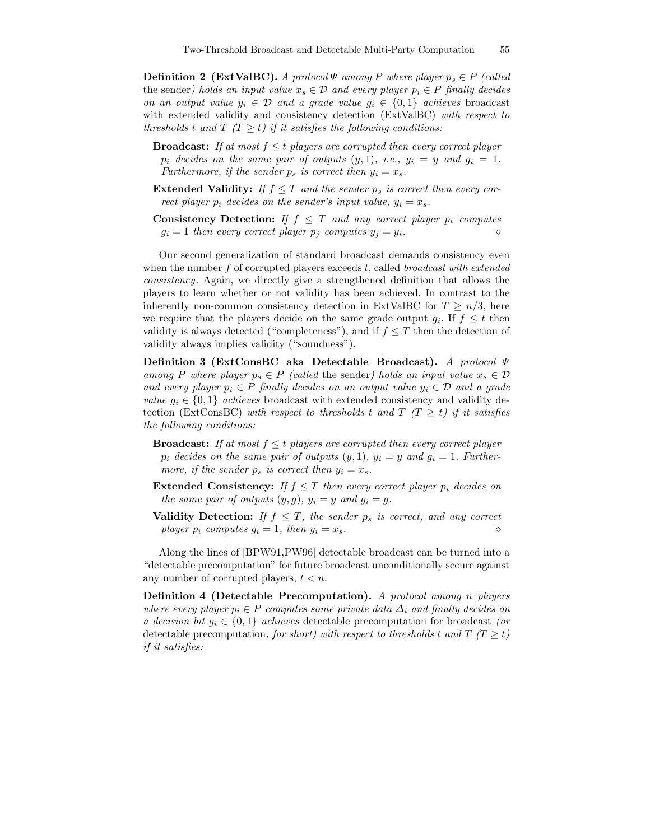**Definition 2 (ExtValBC).** A protocol  $\Psi$  among P where player  $p_s \in P$  (called the sender) holds an input value  $x_s \in \mathcal{D}$  and every player  $p_i \in P$  finally decides on an output value  $y_i \in \mathcal{D}$  and a grade value  $g_i \in \{0,1\}$  achieves broadcast with extended validity and consistency detection (ExtValBC) with respect to thresholds t and  $T(T \geq t)$  if it satisfies the following conditions:

- **Broadcast:** If at most  $f \leq t$  players are corrupted then every correct player  $p_i$  decides on the same pair of outputs  $(y, 1)$ , i.e.,  $y_i = y$  and  $q_i = 1$ . Furthermore, if the sender  $p_s$  is correct then  $y_i = x_s$ .
- **Extended Validity:** If  $f \leq T$  and the sender  $p_s$  is correct then every correct player  $p_i$  decides on the sender's input value,  $y_i = x_s$ .
- **Consistency Detection:** If  $f \leq T$  and any correct player  $p_i$  computes  $g_i = 1$  then every correct player  $p_i$  computes  $y_j = y_i$ .

Our second generalization of standard broadcast demands consistency even when the number  $f$  of corrupted players exceeds  $t$ , called *broadcast with extended* consistency. Again, we directly give a strengthened definition that allows the players to learn whether or not validity has been achieved. In contrast to the inherently non-common consistency detection in ExtValBC for  $T \geq n/3$ , here we require that the players decide on the same grade output  $g_i$ . If  $f \leq t$  then validity is always detected ("completeness"), and if  $f \leq T$  then the detection of validity always implies validity ("soundness").

Definition 3 (ExtConsBC aka Detectable Broadcast). A protocol Ψ among P where player  $p_s \in P$  (called the sender) holds an input value  $x_s \in \mathcal{D}$ and every player  $p_i \in P$  finally decides on an output value  $y_i \in D$  and a grade value  $q_i \in \{0,1\}$  achieves broadcast with extended consistency and validity detection (ExtConsBC) with respect to thresholds t and  $T(T \geq t)$  if it satisfies the following conditions:

- **Broadcast:** If at most  $f \leq t$  players are corrupted then every correct player  $p_i$  decides on the same pair of outputs  $(y, 1)$ ,  $y_i = y$  and  $g_i = 1$ . Furthermore, if the sender  $p_s$  is correct then  $y_i = x_s$ .
- **Extended Consistency:** If  $f \leq T$  then every correct player  $p_i$  decides on the same pair of outputs  $(y, g)$ ,  $y_i = y$  and  $g_i = g$ .
- **Validity Detection:** If  $f \leq T$ , the sender  $p_s$  is correct, and any correct player  $p_i$  computes  $g_i = 1$ , then  $y_i = x_s$ .

Along the lines of [BPW91,PW96] detectable broadcast can be turned into a "detectable precomputation" for future broadcast unconditionally secure against any number of corrupted players,  $t < n$ .

Definition 4 (Detectable Precomputation). A protocol among n players where every player  $p_i \in P$  computes some private data  $\Delta_i$  and finally decides on a decision bit  $g_i \in \{0,1\}$  achieves detectable precomputation for broadcast (or detectable precomputation, for short) with respect to thresholds t and  $T(T \geq t)$ if it satisfies: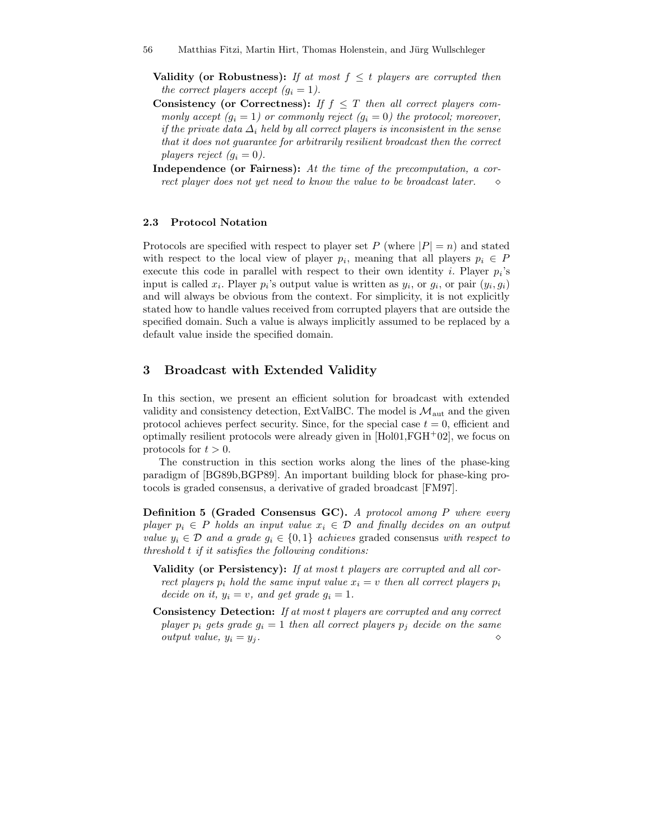- **Validity (or Robustness):** If at most  $f \leq t$  players are corrupted then the correct players accept  $(q_i = 1)$ .
- Consistency (or Correctness): If  $f \leq T$  then all correct players commonly accept  $(g_i = 1)$  or commonly reject  $(g_i = 0)$  the protocol; moreover, if the private data  $\Delta_i$  held by all correct players is inconsistent in the sense that it does not guarantee for arbitrarily resilient broadcast then the correct players reject  $(g_i = 0)$ .
- Independence (or Fairness): At the time of the precomputation, a correct player does not yet need to know the value to be broadcast later.  $\Diamond$

#### 2.3 Protocol Notation

Protocols are specified with respect to player set P (where  $|P| = n$ ) and stated with respect to the local view of player  $p_i$ , meaning that all players  $p_i \in P$ execute this code in parallel with respect to their own identity *i*. Player  $p_i$ 's input is called  $x_i$ . Player  $p_i$ 's output value is written as  $y_i$ , or  $g_i$ , or pair  $(y_i, g_i)$ and will always be obvious from the context. For simplicity, it is not explicitly stated how to handle values received from corrupted players that are outside the specified domain. Such a value is always implicitly assumed to be replaced by a default value inside the specified domain.

# 3 Broadcast with Extended Validity

In this section, we present an efficient solution for broadcast with extended validity and consistency detection, ExtValBC. The model is  $\mathcal{M}_{\text{aut}}$  and the given protocol achieves perfect security. Since, for the special case  $t = 0$ , efficient and optimally resilient protocols were already given in  $[Hol01, FGH<sup>+</sup>02]$ , we focus on protocols for  $t > 0$ .

The construction in this section works along the lines of the phase-king paradigm of [BG89b,BGP89]. An important building block for phase-king protocols is graded consensus, a derivative of graded broadcast [FM97].

Definition 5 (Graded Consensus GC). A protocol among P where every player  $p_i \in P$  holds an input value  $x_i \in D$  and finally decides on an output value  $y_i \in \mathcal{D}$  and a grade  $g_i \in \{0,1\}$  achieves graded consensus with respect to threshold t if it satisfies the following conditions:

- Validity (or Persistency): If at most t players are corrupted and all correct players  $p_i$  hold the same input value  $x_i = v$  then all correct players  $p_i$ decide on it,  $y_i = v$ , and get grade  $g_i = 1$ .
- Consistency Detection: If at most t players are corrupted and any correct player  $p_i$  gets grade  $g_i = 1$  then all correct players  $p_j$  decide on the same output value,  $y_i = y_j$ .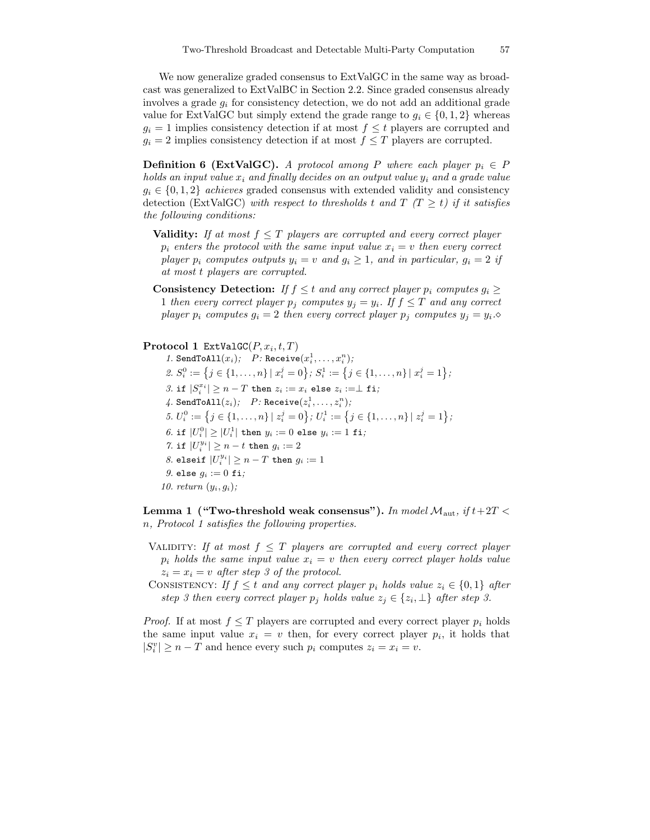We now generalize graded consensus to ExtValGC in the same way as broadcast was generalized to ExtValBC in Section 2.2. Since graded consensus already involves a grade  $g_i$  for consistency detection, we do not add an additional grade value for ExtValGC but simply extend the grade range to  $g_i \in \{0, 1, 2\}$  whereas  $g_i = 1$  implies consistency detection if at most  $f \leq t$  players are corrupted and  $g_i = 2$  implies consistency detection if at most  $f \leq T$  players are corrupted.

**Definition 6 (ExtValGC).** A protocol among P where each player  $p_i \in P$ holds an input value  $x_i$  and finally decides on an output value  $y_i$  and a grade value  $q_i \in \{0, 1, 2\}$  achieves graded consensus with extended validity and consistency detection (ExtValGC) with respect to thresholds t and  $T(T \geq t)$  if it satisfies the following conditions:

- **Validity:** If at most  $f \leq T$  players are corrupted and every correct player  $p_i$  enters the protocol with the same input value  $x_i = v$  then every correct player  $p_i$  computes outputs  $y_i = v$  and  $q_i \ge 1$ , and in particular,  $q_i = 2$  if at most t players are corrupted.
- **Consistency Detection:** If  $f \leq t$  and any correct player  $p_i$  computes  $g_i \geq$ 1 then every correct player  $p_j$  computes  $y_j = y_i$ . If  $f \leq T$  and any correct player  $p_i$  computes  $g_i = 2$  then every correct player  $p_j$  computes  $y_j = y_i$ .

### $\mathbf{Protocol\ 1\ \, ExtValGC}(P,x_i,t,T)$

*1.* SendToAll $(x_i)$ ;  $P:$  Receive $(x_i^1, \ldots, x_i^n)$ ; 2.  $S_i^0 := \left\{ j \in \{1, \ldots, n\} \mid x_i^j = 0 \right\}; S_i^1 := \left\{ j \in \{1, \ldots, n\} \mid x_i^j = 1 \right\};$ 3. if  $|S_i^{x_i}| \ge n - T$  then  $z_i := x_i$  else  $z_i := \perp$  fi;  $\mathcal{A}.\ \texttt{SendToAll}(z_i); \quad P \colon \texttt{Received}(z_i^1, \dots, z_i^n);$ 5.  $U_i^0 := \left\{ j \in \{1, \ldots, n\} \mid z_i^j = 0 \right\}; U_i^1 := \left\{ j \in \{1, \ldots, n\} \mid z_i^j = 1 \right\};$  $6.$  if  $|U_i^0| \geq |U_i^1|$  then  $y_i := 0$  else  $y_i := 1$  fi; 7. if  $|U_i^{y_i}|\geq n-t$  then  $g_i:=2$ 8. elseif  $|U_i^{y_i}|\geq n-T$  then  $g_i:=1$ 9. else  $g_i := 0$  fi; 10. return  $(y_i, q_i)$ ;

Lemma 1 ("Two-threshold weak consensus"). In model  $\mathcal{M}_{\text{aut}},$  if  $t+2T <$ n, Protocol 1 satisfies the following properties.

- VALIDITY: If at most  $f \leq T$  players are corrupted and every correct player  $p_i$  holds the same input value  $x_i = v$  then every correct player holds value  $z_i = x_i = v$  after step 3 of the protocol.
- CONSISTENCY: If  $f \leq t$  and any correct player  $p_i$  holds value  $z_i \in \{0,1\}$  after step 3 then every correct player  $p_j$  holds value  $z_j \in \{z_i, \perp\}$  after step 3.

*Proof.* If at most  $f \leq T$  players are corrupted and every correct player  $p_i$  holds the same input value  $x_i = v$  then, for every correct player  $p_i$ , it holds that  $|S_i^v| \ge n - T$  and hence every such  $p_i$  computes  $z_i = x_i = v$ .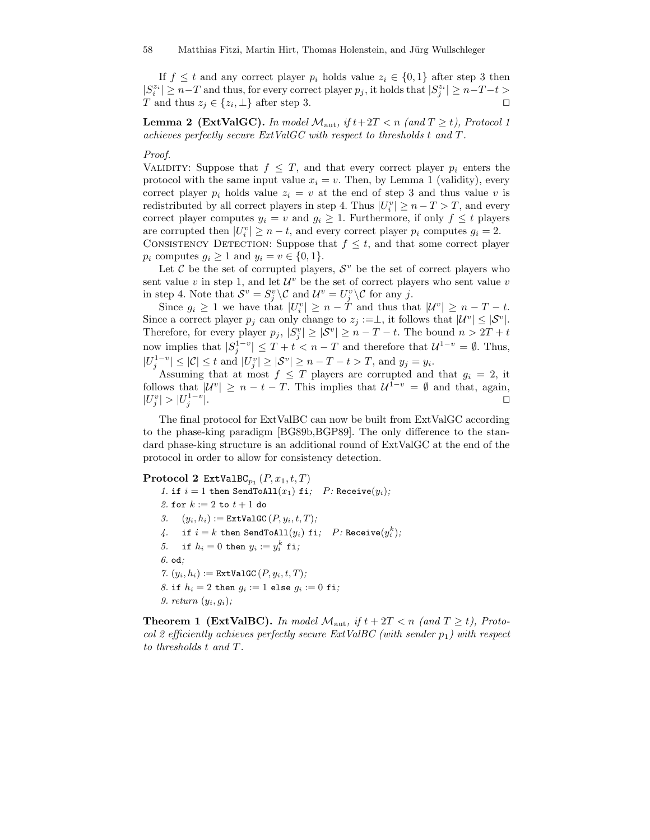If  $f \leq t$  and any correct player  $p_i$  holds value  $z_i \in \{0,1\}$  after step 3 then  $|S_i^{z_i}| \geq n-T$  and thus, for every correct player  $p_j$ , it holds that  $|S_j^{z_i}| \geq n-T-t$ T and thus  $z_j \in \{z_i, \perp\}$  after step 3.

**Lemma 2 (ExtValGC).** In model  $M_{\text{aut}}$ , if  $t+2T < n$  (and  $T \ge t$ ), Protocol 1 achieves perfectly secure ExtValGC with respect to thresholds t and T.

#### Proof.

VALIDITY: Suppose that  $f \leq T$ , and that every correct player  $p_i$  enters the protocol with the same input value  $x_i = v$ . Then, by Lemma 1 (validity), every correct player  $p_i$  holds value  $z_i = v$  at the end of step 3 and thus value v is redistributed by all correct players in step 4. Thus  $|U_i^v| \ge n - T > T$ , and every correct player computes  $y_i = v$  and  $g_i \geq 1$ . Furthermore, if only  $f \leq t$  players are corrupted then  $|U_i^v| \ge n - t$ , and every correct player  $p_i$  computes  $g_i = 2$ . CONSISTENCY DETECTION: Suppose that  $f \leq t$ , and that some correct player  $p_i$  computes  $g_i \geq 1$  and  $y_i = v \in \{0, 1\}.$ 

Let  $\mathcal C$  be the set of corrupted players,  $\mathcal S^v$  be the set of correct players who sent value  $v$  in step 1, and let  $\mathcal{U}^v$  be the set of correct players who sent value  $v$ in step 4. Note that  $S^v = S^v_j \setminus \mathcal{C}$  and  $\mathcal{U}^v = U^v_j \setminus \mathcal{C}$  for any j.

Since  $g_i \geq 1$  we have that  $|U_i^v| \geq n - \tilde{T}$  and thus that  $|U_i^v| \geq n - T - t$ . Since a correct player  $p_j$  can only change to  $z_j := \perp$ , it follows that  $|\mathcal{U}^v| \leq |\mathcal{S}^v|$ . Therefore, for every player  $p_j$ ,  $|S_j^v| \geq |\mathcal{S}^v| \geq n - T - t$ . The bound  $n > 2T + t$ now implies that  $|S_j^{1-v}| \leq T + t < n - T$  and therefore that  $\mathcal{U}^{1-v} = \emptyset$ . Thus,  $|U_j^{1-v}| \leq |\mathcal{C}| \leq t$  and  $|U_j^v| \geq |\mathcal{S}^v| \geq n - T - t > T$ , and  $y_j = y_i$ .

Assuming that at most  $f \leq T$  players are corrupted and that  $g_i = 2$ , it follows that  $|\mathcal{U}^v| \geq n - t - T$ . This implies that  $\mathcal{U}^{1-v} = \emptyset$  and that, again,  $|U_j^v|>|U_j^{1-v}$ |. tu

The final protocol for ExtValBC can now be built from ExtValGC according to the phase-king paradigm [BG89b,BGP89]. The only difference to the standard phase-king structure is an additional round of ExtValGC at the end of the protocol in order to allow for consistency detection.

### $\mathbf{Protocol}$  2  $\mathtt{ExtValBC}_{p_1}\left(P, x_1, t, T\right)$

1. if  $i = 1$  then SendToAll $(x_1)$  fi;  $P$ : Receive $(y_i)$ ; 2. for  $k := 2$  to  $t + 1$  do 3.  $(y_i, h_i) := \text{ExtValGC}(P, y_i, t, T);$  $4.$  if  $i=k$  then SendToAll $(y_i)$  fi;  $P$ : Receive $(y_i^k);$ 5. if  $h_i = 0$  then  $y_i := y_i^k$  fi; 6. od; 7.  $(y_i, h_i) :=$  ExtValGC  $(P, y_i, t, T)$ ; 8. if  $h_i = 2$  then  $q_i := 1$  else  $q_i := 0$  fi; 9. return  $(y_i, g_i)$ ;

**Theorem 1 (ExtValBC).** In model  $\mathcal{M}_{\text{aut}}$ , if  $t + 2T < n$  (and  $T \ge t$ ), Protocol 2 efficiently achieves perfectly secure ExtValBC (with sender  $p_1$ ) with respect to thresholds t and T.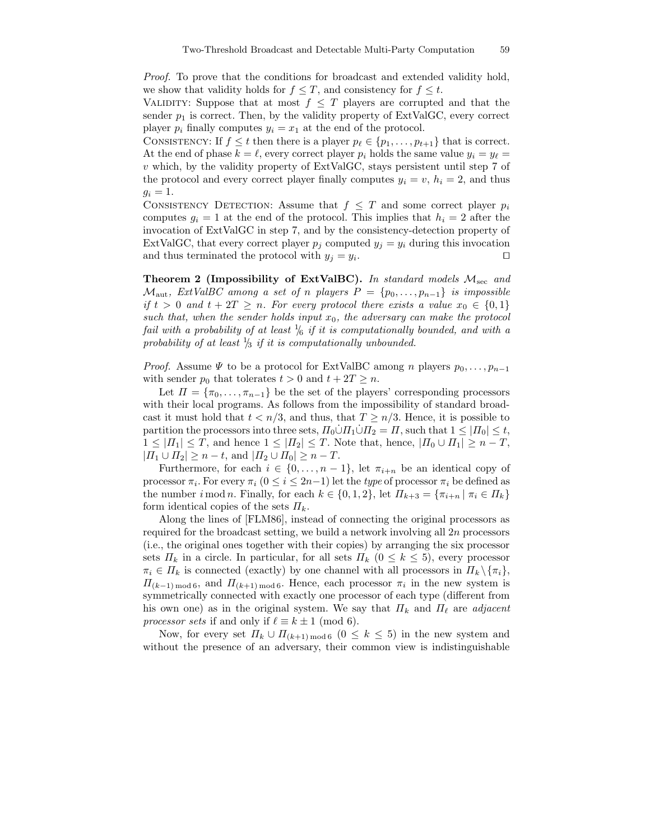Proof. To prove that the conditions for broadcast and extended validity hold, we show that validity holds for  $f \leq T$ , and consistency for  $f \leq t$ .

VALIDITY: Suppose that at most  $f \leq T$  players are corrupted and that the sender  $p_1$  is correct. Then, by the validity property of ExtValGC, every correct player  $p_i$  finally computes  $y_i = x_1$  at the end of the protocol.

CONSISTENCY: If  $f \leq t$  then there is a player  $p_\ell \in \{p_1, \ldots, p_{t+1}\}\$  that is correct. At the end of phase  $k = \ell$ , every correct player  $p_i$  holds the same value  $y_i = y_\ell =$ v which, by the validity property of ExtValGC, stays persistent until step 7 of the protocol and every correct player finally computes  $y_i = v$ ,  $h_i = 2$ , and thus  $g_i = 1$ .

CONSISTENCY DETECTION: Assume that  $f \leq T$  and some correct player  $p_i$ computes  $g_i = 1$  at the end of the protocol. This implies that  $h_i = 2$  after the invocation of ExtValGC in step 7, and by the consistency-detection property of ExtValGC, that every correct player  $p_j$  computed  $y_j = y_i$  during this invocation and thus terminated the protocol with  $y_j = y_i$ . . The contract of the contract of  $\Box$ 

Theorem 2 (Impossibility of ExtValBC). In standard models  $M<sub>sec</sub>$  and  $\mathcal{M}_{\text{aut}}$ , ExtValBC among a set of n players  $P = \{p_0, \ldots, p_{n-1}\}\$ is impossible if  $t > 0$  and  $t + 2T \geq n$ . For every protocol there exists a value  $x_0 \in \{0,1\}$ such that, when the sender holds input  $x_0$ , the adversary can make the protocol fail with a probability of at least  $\frac{1}{6}$  if it is computationally bounded, and with a probability of at least  $\frac{1}{3}$  if it is computationally unbounded.

*Proof.* Assume  $\Psi$  to be a protocol for ExtValBC among n players  $p_0, \ldots, p_{n-1}$ with sender  $p_0$  that tolerates  $t > 0$  and  $t + 2T \geq n$ .

Let  $\Pi = {\pi_0, \ldots, \pi_{n-1}}$  be the set of the players' corresponding processors with their local programs. As follows from the impossibility of standard broadcast it must hold that  $t < n/3$ , and thus, that  $T \ge n/3$ . Hence, it is possible to partition the processors into three sets,  $\Pi_0 \dot{\cup} \Pi_1 \dot{\cup} \Pi_2 = \Pi$ , such that  $1 \leq |\Pi_0| \leq t$ ,  $1 \leq |H_1| \leq T$ , and hence  $1 \leq |H_2| \leq T$ . Note that, hence,  $|H_0 \cup H_1| \geq n - T$ ,  $|H_1 \cup H_2| \geq n - t$ , and  $|H_2 \cup H_0| \geq n - T$ .

Furthermore, for each  $i \in \{0, \ldots, n-1\}$ , let  $\pi_{i+n}$  be an identical copy of processor  $\pi_i$ . For every  $\pi_i$   $(0 \le i \le 2n-1)$  let the *type* of processor  $\pi_i$  be defined as the number i mod n. Finally, for each  $k \in \{0,1,2\}$ , let  $\Pi_{k+3} = \{\pi_{i+n} \mid \pi_i \in \Pi_k\}$ form identical copies of the sets  $\Pi_k$ .

Along the lines of [FLM86], instead of connecting the original processors as required for the broadcast setting, we build a network involving all  $2n$  processors (i.e., the original ones together with their copies) by arranging the six processor sets  $\Pi_k$  in a circle. In particular, for all sets  $\Pi_k$   $(0 \leq k \leq 5)$ , every processor  $\pi_i \in \Pi_k$  is connected (exactly) by one channel with all processors in  $\Pi_k \setminus {\pi_i}$ ,  $\Pi_{(k-1) \text{ mod } 6}$ , and  $\Pi_{(k+1) \text{ mod } 6}$ . Hence, each processor  $\pi_i$  in the new system is symmetrically connected with exactly one processor of each type (different from his own one) as in the original system. We say that  $\Pi_k$  and  $\Pi_\ell$  are adjacent processor sets if and only if  $\ell \equiv k \pm 1 \pmod{6}$ .

Now, for every set  $\Pi_k \cup \Pi_{(k+1) \bmod 6}$   $(0 \leq k \leq 5)$  in the new system and without the presence of an adversary, their common view is indistinguishable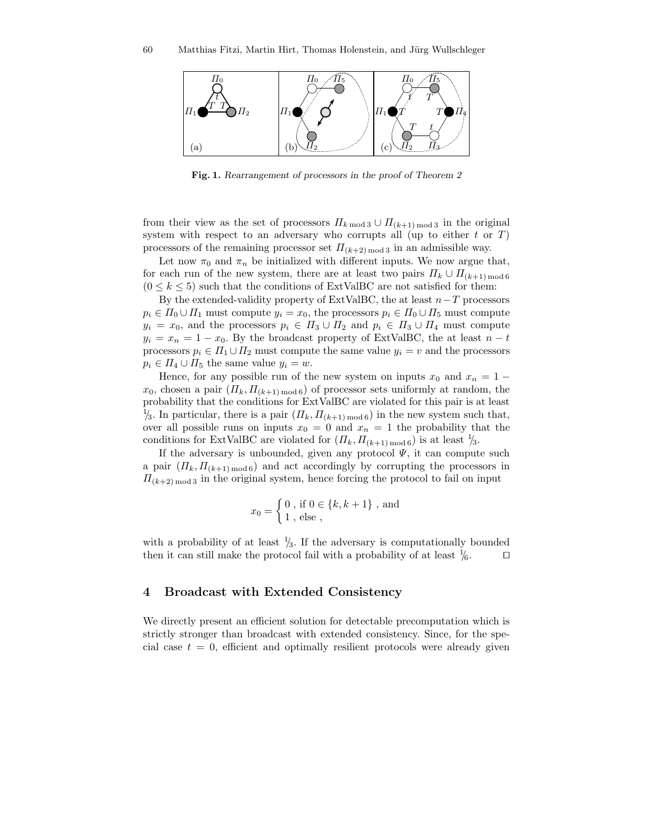

Fig. 1. Rearrangement of processors in the proof of Theorem 2

from their view as the set of processors  $\Pi_{k \mod 3} \cup \Pi_{(k+1) \mod 3}$  in the original system with respect to an adversary who corrupts all (up to either  $t$  or  $T$ ) processors of the remaining processor set  $\Pi_{(k+2) \text{ mod } 3}$  in an admissible way.

Let now  $\pi_0$  and  $\pi_n$  be initialized with different inputs. We now argue that, for each run of the new system, there are at least two pairs  $\Pi_k \cup \Pi_{(k+1) \text{ mod } 6}$  $(0 \leq k \leq 5)$  such that the conditions of ExtValBC are not satisfied for them:

By the extended-validity property of ExtValBC, the at least  $n-T$  processors  $p_i \in \Pi_0 \cup \Pi_1$  must compute  $y_i = x_0$ , the processors  $p_i \in \Pi_0 \cup \Pi_5$  must compute  $y_i = x_0$ , and the processors  $p_i \in \Pi_3 \cup \Pi_2$  and  $p_i \in \Pi_3 \cup \Pi_4$  must compute  $y_i = x_n = 1 - x_0$ . By the broadcast property of ExtValBC, the at least  $n - t$ processors  $p_i \in \Pi_1 \cup \Pi_2$  must compute the same value  $y_i = v$  and the processors  $p_i \in \Pi_4 \cup \Pi_5$  the same value  $y_i = w$ .

Hence, for any possible run of the new system on inputs  $x_0$  and  $x_n = 1$  $x_0$ , chosen a pair  $(\Pi_k, \Pi_{(k+1) \text{ mod } 6})$  of processor sets uniformly at random, the probability that the conditions for ExtValBC are violated for this pair is at least <sup>1</sup>/<sub>3</sub>. In particular, there is a pair  $(\Pi_k, \Pi_{(k+1) \mod 6})$  in the new system such that, over all possible runs on inputs  $x_0 = 0$  and  $x_n = 1$  the probability that the conditions for ExtValBC are violated for  $(\Pi_k, \Pi_{(k+1) \mod 6})$  is at least  $\frac{1}{3}$ .

If the adversary is unbounded, given any protocol  $\Psi$ , it can compute such a pair  $(\Pi_k, \Pi_{(k+1) \mod 6})$  and act accordingly by corrupting the processors in  $\Pi_{(k+2) \text{ mod } 3}$  in the original system, hence forcing the protocol to fail on input

$$
x_0 = \begin{cases} 0, \text{ if } 0 \in \{k, k+1\}, \text{ and} \\ 1, \text{ else }, \end{cases}
$$

with a probability of at least  $\frac{1}{3}$ . If the adversary is computationally bounded then it can still make the protocol fail with a probability of at least  $\frac{1}{6}$ .

# 4 Broadcast with Extended Consistency

We directly present an efficient solution for detectable precomputation which is strictly stronger than broadcast with extended consistency. Since, for the special case  $t = 0$ , efficient and optimally resilient protocols were already given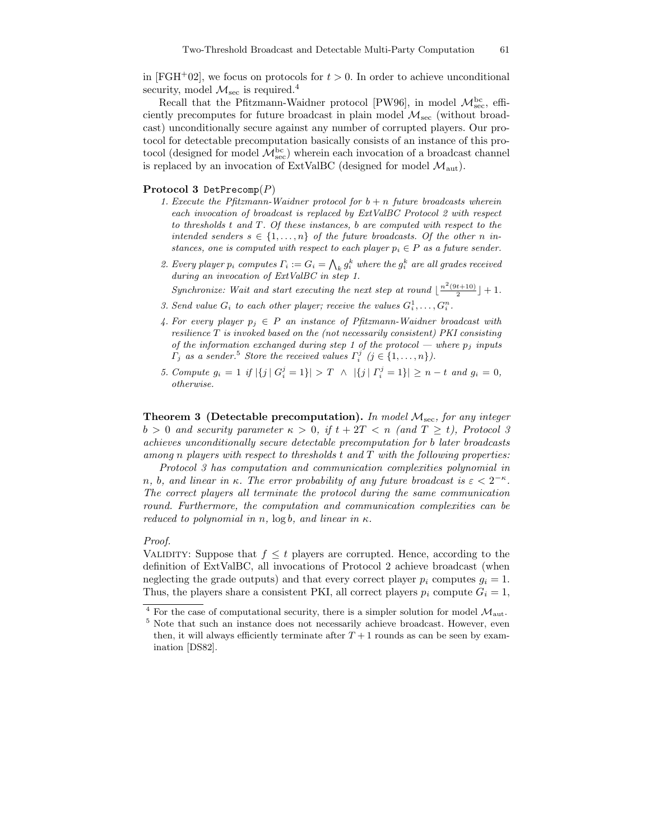in [FGH+02], we focus on protocols for  $t > 0$ . In order to achieve unconditional security, model  $\mathcal{M}_{\text{sec}}$  is required.<sup>4</sup>

Recall that the Pfitzmann-Waidner protocol [PW96], in model  $\mathcal{M}_{\mathrm{sec}}^{\mathrm{bc}}$ , efficiently precomputes for future broadcast in plain model  $\mathcal{M}_{\text{sec}}$  (without broadcast) unconditionally secure against any number of corrupted players. Our protocol for detectable precomputation basically consists of an instance of this protocol (designed for model  $\mathcal{M}^{\mathrm{bc}}_{\mathrm{sec}}$ ) wherein each invocation of a broadcast channel is replaced by an invocation of ExtValBC (designed for model  $\mathcal{M}_{\text{aut}}$ ).

#### Protocol 3 DetPrecomp $(P)$

- 1. Execute the Pfitzmann-Waidner protocol for  $b + n$  future broadcasts wherein each invocation of broadcast is replaced by ExtValBC Protocol 2 with respect to thresholds t and T. Of these instances, b are computed with respect to the intended senders  $s \in \{1, \ldots, n\}$  of the future broadcasts. Of the other n instances, one is computed with respect to each player  $p_i \in P$  as a future sender.
- 2. Every player  $p_i$  computes  $\Gamma_i := G_i = \bigwedge_k g_i^k$  where the  $g_i^k$  are all grades received during an invocation of ExtValBC in step 1.

Synchronize: Wait and start executing the next step at round  $\lfloor \frac{n^2(9t+10)}{2} \rfloor + 1$ .

- 3. Send value  $G_i$  to each other player; receive the values  $G_i^1, \ldots, G_i^n$ .
- 4. For every player  $p_i \in P$  an instance of Pfitzmann-Waidner broadcast with resilience  $T$  is invoked based on the (not necessarily consistent) PKI consisting of the information exchanged during step 1 of the protocol — where  $p_j$  inputs  $\Gamma_j$  as a sender.<sup>5</sup> Store the received values  $\Gamma_i^j$  ( $j \in \{1, ..., n\}$ ).
- 5. Compute  $g_i = 1$  if  $|\{j \mid G_i^j = 1\}| > T \land |\{j \mid \Gamma_i^j = 1\}| \geq n t$  and  $g_i = 0$ , otherwise.

**Theorem 3 (Detectable precomputation).** In model  $M_{\text{sec}}$ , for any integer  $b > 0$  and security parameter  $\kappa > 0$ , if  $t + 2T < n$  (and  $T \ge t$ ), Protocol 3 achieves unconditionally secure detectable precomputation for b later broadcasts among n players with respect to thresholds  $t$  and  $T$  with the following properties:

Protocol 3 has computation and communication complexities polynomial in n, b, and linear in  $\kappa$ . The error probability of any future broadcast is  $\varepsilon < 2^{-\kappa}$ . The correct players all terminate the protocol during the same communication round. Furthermore, the computation and communication complexities can be reduced to polynomial in n,  $log b$ , and linear in  $\kappa$ .

#### Proof.

VALIDITY: Suppose that  $f \leq t$  players are corrupted. Hence, according to the definition of ExtValBC, all invocations of Protocol 2 achieve broadcast (when neglecting the grade outputs) and that every correct player  $p_i$  computes  $q_i = 1$ . Thus, the players share a consistent PKI, all correct players  $p_i$  compute  $G_i = 1$ ,

For the case of computational security, there is a simpler solution for model  $\mathcal{M}_{\text{aut}}$ .

<sup>5</sup> Note that such an instance does not necessarily achieve broadcast. However, even then, it will always efficiently terminate after  $T+1$  rounds as can be seen by examination [DS82].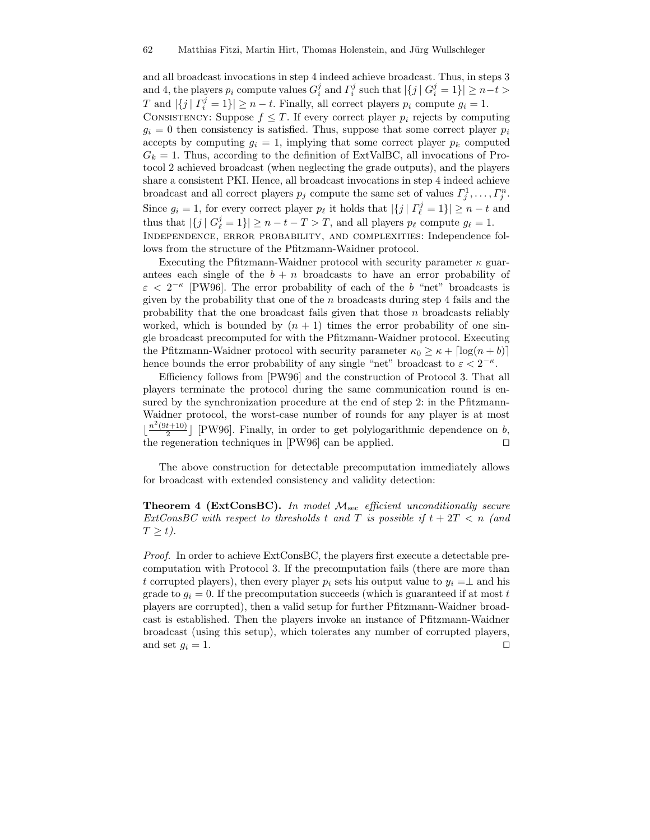and all broadcast invocations in step 4 indeed achieve broadcast. Thus, in steps 3 and 4, the players  $p_i$  compute values  $G_i^j$  and  $\Gamma_i^j$  such that  $|\{j \mid G_i^j = 1\}| \ge n-t$ T and  $|\{j \mid \Gamma_i^j = 1\}| \ge n - t$ . Finally, all correct players  $p_i$  compute  $g_i = 1$ . CONSISTENCY: Suppose  $f \leq T$ . If every correct player  $p_i$  rejects by computing  $q_i = 0$  then consistency is satisfied. Thus, suppose that some correct player  $p_i$ accepts by computing  $q_i = 1$ , implying that some correct player  $p_k$  computed  $G_k = 1$ . Thus, according to the definition of ExtValBC, all invocations of Protocol 2 achieved broadcast (when neglecting the grade outputs), and the players share a consistent PKI. Hence, all broadcast invocations in step 4 indeed achieve broadcast and all correct players  $p_j$  compute the same set of values  $\Gamma_j^1, \ldots, \Gamma_j^n$ . Since  $g_i = 1$ , for every correct player  $p_\ell$  it holds that  $|\{j | \Gamma_\ell^j = 1\}| \ge n - t$  and thus that  $|\{j \mid G^j_{\ell} = 1\}| \ge n - t - T > T$ , and all players  $p_{\ell}$  compute  $g_{\ell} = 1$ . Independence, error probability, and complexities: Independence follows from the structure of the Pfitzmann-Waidner protocol.

Executing the Pfitzmann-Waidner protocol with security parameter  $\kappa$  guarantees each single of the  $b + n$  broadcasts to have an error probability of  $\varepsilon$  <  $2^{-\kappa}$  [PW96]. The error probability of each of the b "net" broadcasts is given by the probability that one of the  $n$  broadcasts during step 4 fails and the probability that the one broadcast fails given that those  $n$  broadcasts reliably worked, which is bounded by  $(n + 1)$  times the error probability of one single broadcast precomputed for with the Pfitzmann-Waidner protocol. Executing the Pfitzmann-Waidner protocol with security parameter  $\kappa_0 \geq \kappa + \lceil \log(n + b) \rceil$ hence bounds the error probability of any single "net" broadcast to  $\varepsilon < 2^{-\kappa}$ .

Efficiency follows from [PW96] and the construction of Protocol 3. That all players terminate the protocol during the same communication round is ensured by the synchronization procedure at the end of step 2: in the Pfitzmann-Waidner protocol, the worst-case number of rounds for any player is at most  $\lfloor \frac{n^2(9t+10)}{2} \rfloor$  $\frac{t+10}{2}$  [PW96]. Finally, in order to get polylogarithmic dependence on b, the regeneration techniques in  $[PW96]$  can be applied.

The above construction for detectable precomputation immediately allows for broadcast with extended consistency and validity detection:

**Theorem 4 (ExtConsBC).** In model  $M_{\text{sec}}$  efficient unconditionally secure ExtConsBC with respect to thresholds t and T is possible if  $t + 2T < n$  (and  $T \geq t$ ).

Proof. In order to achieve ExtConsBC, the players first execute a detectable precomputation with Protocol 3. If the precomputation fails (there are more than t corrupted players), then every player  $p_i$  sets his output value to  $y_i = \perp$  and his grade to  $g_i = 0$ . If the precomputation succeeds (which is guaranteed if at most t players are corrupted), then a valid setup for further Pfitzmann-Waidner broadcast is established. Then the players invoke an instance of Pfitzmann-Waidner broadcast (using this setup), which tolerates any number of corrupted players, and set  $g_i = 1$ .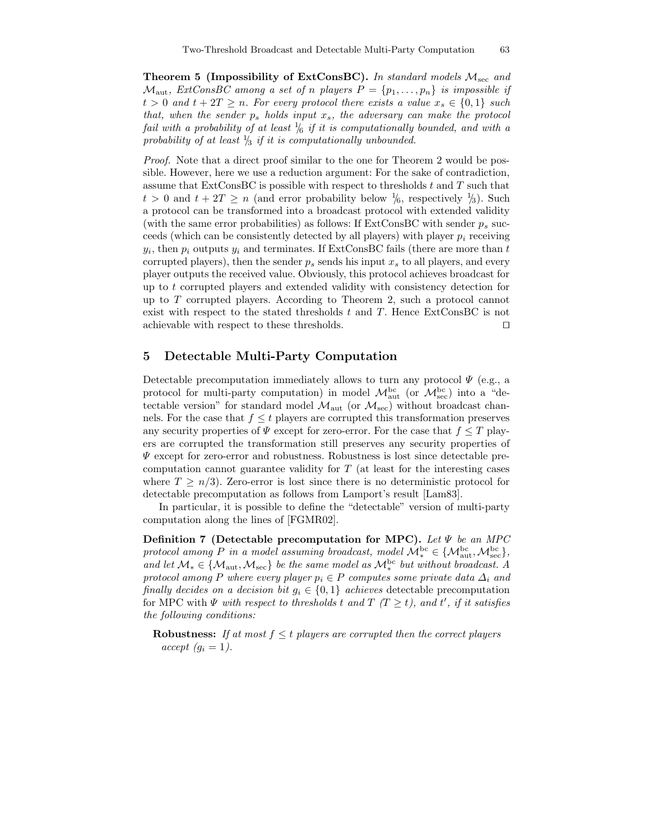Theorem 5 (Impossibility of ExtConsBC). In standard models  $\mathcal{M}_{\text{sec}}$  and  $\mathcal{M}_{\text{aut}}$ , ExtConsBC among a set of n players  $P = \{p_1, \ldots, p_n\}$  is impossible if  $t > 0$  and  $t + 2T \geq n$ . For every protocol there exists a value  $x_s \in \{0,1\}$  such that, when the sender  $p_s$  holds input  $x_s$ , the adversary can make the protocol fail with a probability of at least  $\frac{1}{6}$  if it is computationally bounded, and with a probability of at least  $\frac{1}{3}$  if it is computationally unbounded.

Proof. Note that a direct proof similar to the one for Theorem 2 would be possible. However, here we use a reduction argument: For the sake of contradiction, assume that ExtConsBC is possible with respect to thresholds  $t$  and  $T$  such that  $t > 0$  and  $t + 2T \ge n$  (and error probability below  $\frac{1}{6}$ , respectively  $\frac{1}{3}$ ). Such a protocol can be transformed into a broadcast protocol with extended validity (with the same error probabilities) as follows: If  $ExtConsBC$  with sender  $p_s$  succeeds (which can be consistently detected by all players) with player  $p_i$  receiving  $y_i$ , then  $p_i$  outputs  $y_i$  and terminates. If ExtConsBC fails (there are more than  $t$ corrupted players), then the sender  $p_s$  sends his input  $x_s$  to all players, and every player outputs the received value. Obviously, this protocol achieves broadcast for up to  $t$  corrupted players and extended validity with consistency detection for up to T corrupted players. According to Theorem 2, such a protocol cannot exist with respect to the stated thresholds  $t$  and  $T$ . Hence ExtConsBC is not achievable with respect to these thresholds.  $\Box$ 

# 5 Detectable Multi-Party Computation

Detectable precomputation immediately allows to turn any protocol  $\Psi$  (e.g., a protocol for multi-party computation) in model  $\mathcal{M}_{\text{aut}}^{\text{bc}}$  (or  $\mathcal{M}_{\text{sec}}^{\text{bc}}$ ) into a "detectable version" for standard model  $\mathcal{M}_{\text{aut}}$  (or  $\mathcal{M}_{\text{sec}}$ ) without broadcast channels. For the case that  $f \leq t$  players are corrupted this transformation preserves any security properties of  $\Psi$  except for zero-error. For the case that  $f \leq T$  players are corrupted the transformation still preserves any security properties of  $\Psi$  except for zero-error and robustness. Robustness is lost since detectable precomputation cannot guarantee validity for  $T$  (at least for the interesting cases where  $T \geq n/3$ ). Zero-error is lost since there is no deterministic protocol for detectable precomputation as follows from Lamport's result [Lam83].

In particular, it is possible to define the "detectable" version of multi-party computation along the lines of [FGMR02].

Definition 7 (Detectable precomputation for MPC). Let  $\Psi$  be an MPC protocol among P in a model assuming broadcast, model  $\mathcal{M}_*^{\mathrm{bc}} \in \{ \mathcal{M}_{\mathrm{aut}}^{\mathrm{bc}}, \mathcal{M}_{\mathrm{sec}}^{\mathrm{bc}} \},\$ and let  $\mathcal{M}_* \in \{ \mathcal{M}_{aut}, \mathcal{M}_{sec} \}$  be the same model as  $\mathcal{M}_*^{bc}$  but without broadcast. A protocol among P where every player  $p_i \in P$  computes some private data  $\Delta_i$  and finally decides on a decision bit  $g_i \in \{0,1\}$  achieves detectable precomputation for MPC with  $\Psi$  with respect to thresholds t and  $T$  ( $T \geq t$ ), and t', if it satisfies the following conditions:

**Robustness:** If at most  $f \leq t$  players are corrupted then the correct players accept  $(q_i = 1)$ .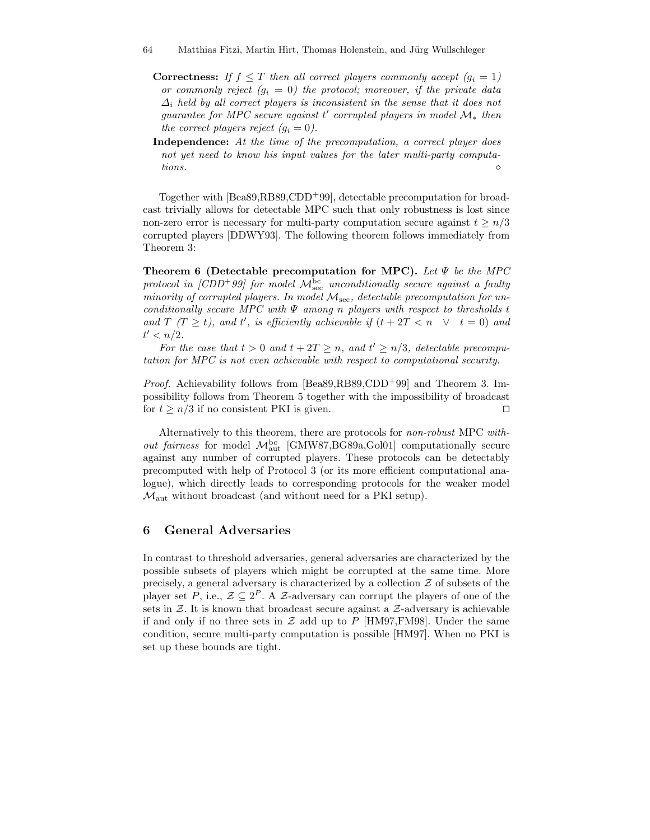- **Correctness:** If  $f \leq T$  then all correct players commonly accept  $(g_i = 1)$ or commonly reject  $(g_i = 0)$  the protocol; moreover, if the private data  $\Delta_i$  held by all correct players is inconsistent in the sense that it does not guarantee for MPC secure against  $t'$  corrupted players in model  $\mathcal{M}_*$  then the correct players reject  $(q_i = 0)$ .
- Independence: At the time of the precomputation, a correct player does not yet need to know his input values for the later multi-party computations.  $\Diamond$

Together with [Bea89,RB89,CDD<sup>+</sup>99], detectable precomputation for broadcast trivially allows for detectable MPC such that only robustness is lost since non-zero error is necessary for multi-party computation secure against  $t \geq n/3$ corrupted players [DDWY93]. The following theorem follows immediately from Theorem 3:

Theorem 6 (Detectable precomputation for MPC). Let  $\Psi$  be the MPC protocol in  $[ CDD^+$ 99] for model  ${\cal M}^{\rm bc}_{\rm sec}$  unconditionally secure against a faulty minority of corrupted players. In model  $M_{\text{sec}}$ , detectable precomputation for unconditionally secure MPC with  $\Psi$  among n players with respect to thresholds t and T  $(T \geq t)$ , and t', is efficiently achievable if  $(t + 2T < n \ \lor \ t = 0)$  and  $t' < n/2$ .

For the case that  $t > 0$  and  $t + 2T \ge n$ , and  $t' \ge n/3$ , detectable precomputation for MPC is not even achievable with respect to computational security.

Proof. Achievability follows from [Bea89,RB89,CDD<sup>+</sup>99] and Theorem 3. Impossibility follows from Theorem 5 together with the impossibility of broadcast for  $t > n/3$  if no consistent PKI is given.

Alternatively to this theorem, there are protocols for non-robust MPC with*out fairness* for model  $M_{\text{aut}}^{\text{bc}}$  [GMW87,BG89a,Gol01] computationally secure against any number of corrupted players. These protocols can be detectably precomputed with help of Protocol 3 (or its more efficient computational analogue), which directly leads to corresponding protocols for the weaker model  $\mathcal{M}_{\text{aut}}$  without broadcast (and without need for a PKI setup).

# 6 General Adversaries

In contrast to threshold adversaries, general adversaries are characterized by the possible subsets of players which might be corrupted at the same time. More precisely, a general adversary is characterized by a collection  $Z$  of subsets of the player set P, i.e.,  $\mathcal{Z} \subseteq 2^P$ . A  $\mathcal{Z}$ -adversary can corrupt the players of one of the sets in  $Z$ . It is known that broadcast secure against a  $Z$ -adversary is achievable if and only if no three sets in  $\mathcal Z$  add up to P [HM97, FM98]. Under the same condition, secure multi-party computation is possible [HM97]. When no PKI is set up these bounds are tight.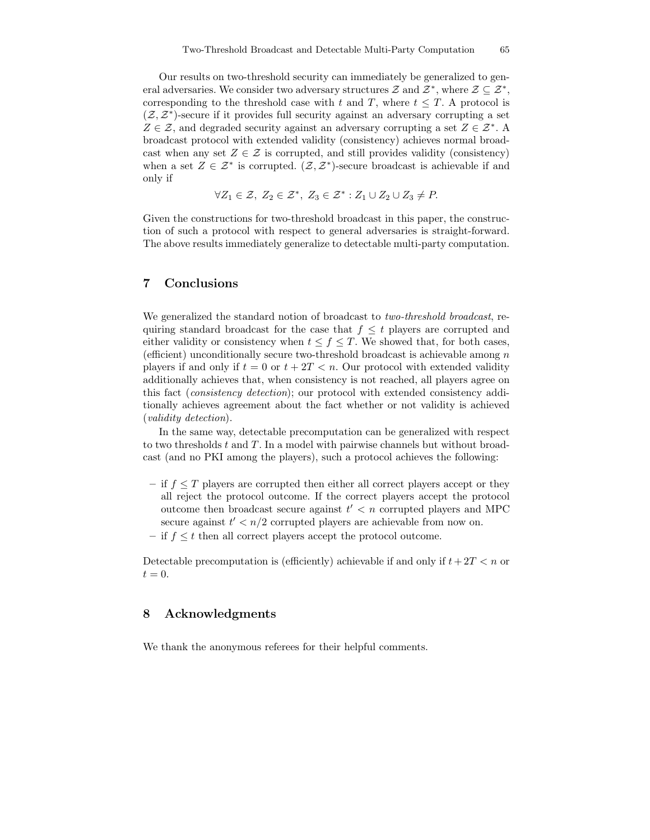Our results on two-threshold security can immediately be generalized to general adversaries. We consider two adversary structures  $\mathcal Z$  and  $\mathcal Z^*$ , where  $\mathcal Z \subseteq \mathcal Z^*$ , corresponding to the threshold case with t and T, where  $t \leq T$ . A protocol is  $(\mathcal{Z}, \mathcal{Z}^*)$ -secure if it provides full security against an adversary corrupting a set  $Z \in \mathcal{Z}$ , and degraded security against an adversary corrupting a set  $Z \in \mathcal{Z}^*$ . A broadcast protocol with extended validity (consistency) achieves normal broadcast when any set  $Z \in \mathcal{Z}$  is corrupted, and still provides validity (consistency) when a set  $Z \in \mathcal{Z}^*$  is corrupted.  $(\mathcal{Z}, \mathcal{Z}^*)$ -secure broadcast is achievable if and only if

$$
\forall Z_1 \in \mathcal{Z}, Z_2 \in \mathcal{Z}^*, Z_3 \in \mathcal{Z}^* : Z_1 \cup Z_2 \cup Z_3 \neq P.
$$

Given the constructions for two-threshold broadcast in this paper, the construction of such a protocol with respect to general adversaries is straight-forward. The above results immediately generalize to detectable multi-party computation.

## 7 Conclusions

We generalized the standard notion of broadcast to two-threshold broadcast, requiring standard broadcast for the case that  $f \leq t$  players are corrupted and either validity or consistency when  $t \le f \le T$ . We showed that, for both cases, (efficient) unconditionally secure two-threshold broadcast is achievable among  $n$ players if and only if  $t = 0$  or  $t + 2T < n$ . Our protocol with extended validity additionally achieves that, when consistency is not reached, all players agree on this fact (consistency detection); our protocol with extended consistency additionally achieves agreement about the fact whether or not validity is achieved (validity detection).

In the same way, detectable precomputation can be generalized with respect to two thresholds t and T. In a model with pairwise channels but without broadcast (and no PKI among the players), such a protocol achieves the following:

- if  $f \leq T$  players are corrupted then either all correct players accept or they all reject the protocol outcome. If the correct players accept the protocol outcome then broadcast secure against  $t' < n$  corrupted players and MPC secure against  $t' < n/2$  corrupted players are achievable from now on.
- if  $f \leq t$  then all correct players accept the protocol outcome.

Detectable precomputation is (efficiently) achievable if and only if  $t+2T < n$  or  $t=0.$ 

### 8 Acknowledgments

We thank the anonymous referees for their helpful comments.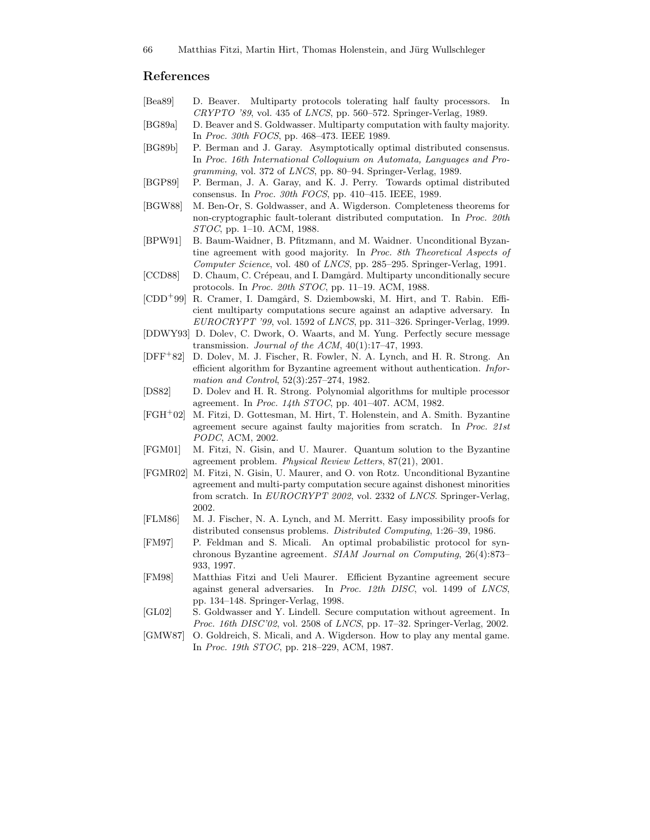# References

- [Bea89] D. Beaver. Multiparty protocols tolerating half faulty processors. In CRYPTO '89, vol. 435 of LNCS, pp. 560–572. Springer-Verlag, 1989.
- [BG89a] D. Beaver and S. Goldwasser. Multiparty computation with faulty majority. In Proc. 30th FOCS, pp. 468–473. IEEE 1989.
- [BG89b] P. Berman and J. Garay. Asymptotically optimal distributed consensus. In Proc. 16th International Colloquium on Automata, Languages and Programming, vol. 372 of LNCS, pp. 80–94. Springer-Verlag, 1989.
- [BGP89] P. Berman, J. A. Garay, and K. J. Perry. Towards optimal distributed consensus. In Proc. 30th FOCS, pp. 410–415. IEEE, 1989.
- [BGW88] M. Ben-Or, S. Goldwasser, and A. Wigderson. Completeness theorems for non-cryptographic fault-tolerant distributed computation. In Proc. 20th STOC, pp. 1–10. ACM, 1988.
- [BPW91] B. Baum-Waidner, B. Pfitzmann, and M. Waidner. Unconditional Byzantine agreement with good majority. In Proc. 8th Theoretical Aspects of Computer Science, vol. 480 of LNCS, pp. 285–295. Springer-Verlag, 1991.
- [CCD88] D. Chaum, C. Crépeau, and I. Damgård. Multiparty unconditionally secure protocols. In Proc. 20th STOC, pp. 11–19. ACM, 1988.
- [CDD<sup>+</sup>99] R. Cramer, I. Damgård, S. Dziembowski, M. Hirt, and T. Rabin. Efficient multiparty computations secure against an adaptive adversary. In  $EUROCRYPT'$  '99, vol. 1592 of *LNCS*, pp. 311–326. Springer-Verlag, 1999.
- [DDWY93] D. Dolev, C. Dwork, O. Waarts, and M. Yung. Perfectly secure message transmission. Journal of the ACM,  $40(1):17-47$ , 1993.
- [DFF<sup>+</sup>82] D. Dolev, M. J. Fischer, R. Fowler, N. A. Lynch, and H. R. Strong. An efficient algorithm for Byzantine agreement without authentication. Information and Control, 52(3):257–274, 1982.
- [DS82] D. Dolev and H. R. Strong. Polynomial algorithms for multiple processor agreement. In Proc. 14th STOC, pp. 401–407. ACM, 1982.
- [FGH<sup>+</sup>02] M. Fitzi, D. Gottesman, M. Hirt, T. Holenstein, and A. Smith. Byzantine agreement secure against faulty majorities from scratch. In Proc. 21st PODC, ACM, 2002.
- [FGM01] M. Fitzi, N. Gisin, and U. Maurer. Quantum solution to the Byzantine agreement problem. Physical Review Letters, 87(21), 2001.
- [FGMR02] M. Fitzi, N. Gisin, U. Maurer, and O. von Rotz. Unconditional Byzantine agreement and multi-party computation secure against dishonest minorities from scratch. In EUROCRYPT 2002, vol. 2332 of LNCS. Springer-Verlag, 2002.
- [FLM86] M. J. Fischer, N. A. Lynch, and M. Merritt. Easy impossibility proofs for distributed consensus problems. Distributed Computing, 1:26–39, 1986.
- [FM97] P. Feldman and S. Micali. An optimal probabilistic protocol for synchronous Byzantine agreement. SIAM Journal on Computing, 26(4):873– 933, 1997.
- [FM98] Matthias Fitzi and Ueli Maurer. Efficient Byzantine agreement secure against general adversaries. In Proc. 12th DISC, vol. 1499 of LNCS, pp. 134–148. Springer-Verlag, 1998.
- [GL02] S. Goldwasser and Y. Lindell. Secure computation without agreement. In Proc. 16th DISC'02, vol. 2508 of LNCS, pp. 17–32. Springer-Verlag, 2002.
- [GMW87] O. Goldreich, S. Micali, and A. Wigderson. How to play any mental game. In Proc. 19th STOC, pp. 218–229, ACM, 1987.